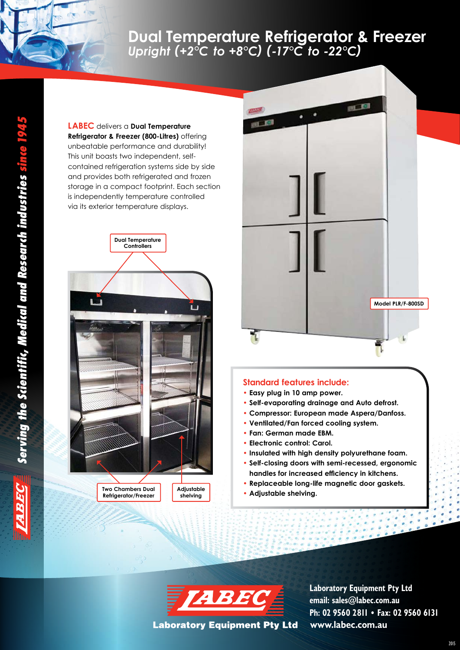## **[Dual Temperature Refrigerator & Freezer](http://www.labec.com.au/products/freezers-refrigerators/freezers/dual-temperature-refrigerator-freezer-2-c-to-8-c-17-c-to-22-c/)** *Upright (+2°C to +8°C) (-17°C to -22°C)*

**LABEC** delivers a **Dual Temperature Refrigerator & Freezer (800-Litres)** offering unbeatable performance and durability! This unit boasts two independent, selfcontained refrigeration systems side by side and provides both refrigerated and frozen storage in a compact footprint. Each section is independently temperature controlled via its exterior temperature displays.



**Refrigerator/Freezer**



## **Standard features include:**

- **Easy plug in 10 amp power.**
- **Self-evaporating drainage and Auto defrost.**
- **Compressor: European made Aspera/Danfoss.**
- **Ventilated/Fan forced cooling system.**
- **Fan: German made EBM.**
- **Electronic control: Carol.**
- **Insulated with high density polyurethane foam.**
- **Self-closing doors with semi-recessed, ergonomic handles for increased efficiency in kitchens.**
- **Replaceable long-life magnetic door gaskets.**
- Two Chambers Dual **Adjustable Shelving Schedule Shelving.**<br>Refrigerator/Freezer shelving shelving



**Laboratory Equipment Pty Ltd** 

**shelving**

**[www.labec.com.au](http://www.labec.com.au) Laboratory Equipment Pty Ltd email: sales@labec.com.au Ph: 02 9560 2811 • Fax: 02 9560 6131**